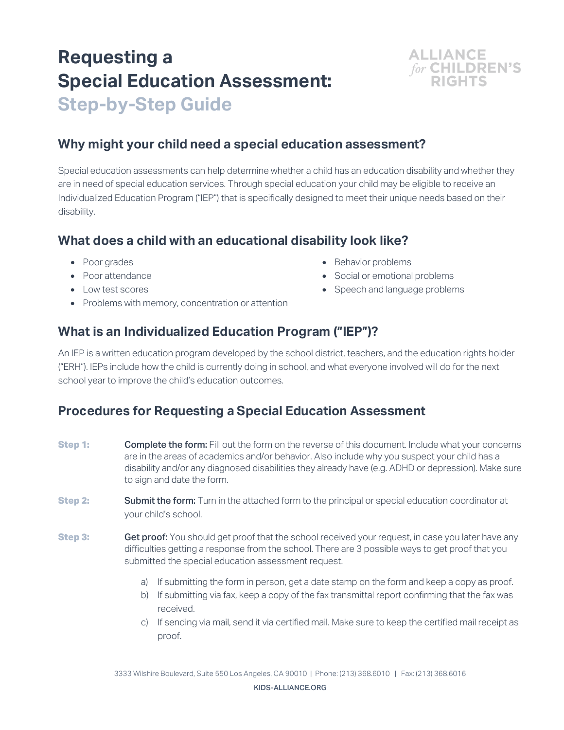# **Requesting a Special Education Assessment: Step-by-Step Guide**

### **Why might your child need a special education assessment?**

Special education assessments can help determine whether a child has an education disability and whether they are in need of special education services. Through special education your child may be eligible to receive an Individualized Education Program ("IEP") that is specifically designed to meet their unique needs based on their disability.

#### **What does a child with an educational disability look like?**

- Poor grades
- Poor attendance
- Low test scores
- Problems with memory, concentration or attention
- Behavior problems
- Social or emotional problems
- Speech and language problems

**ALLIANCE** 

for CHILDREN'S

## **What is an Individualized Education Program ("IEP")?**

An IEP is a written education program developed by the school district, teachers, and the education rights holder ("ERH"). IEPs include how the child is currently doing in school, and what everyone involved will do for the next school year to improve the child's education outcomes.

#### **Procedures for Requesting a Special Education Assessment**

- **Step 1: Complete the form:** Fill out the form on the reverse of this document. Include what your concerns are in the areas of academics and/or behavior. Also include why you suspect your child has a disability and/or any diagnosed disabilities they already have (e.g. ADHD or depression). Make sure to sign and date the form.
- **Step 2: Submit the form:** Turn in the attached form to the principal or special education coordinator at your child's school.
- **Step 3: Get proof:** You should get proof that the school received your request, in case you later have any difficulties getting a response from the school. There are 3 possible ways to get proof that you submitted the special education assessment request.
	- a) If submitting the form in person, get a date stamp on the form and keep a copy as proof.
	- b) If submitting via fax, keep a copy of the fax transmittal report confirming that the fax was received.
	- c) If sending via mail, send it via certified mail. Make sure to keep the certified mail receipt as proof.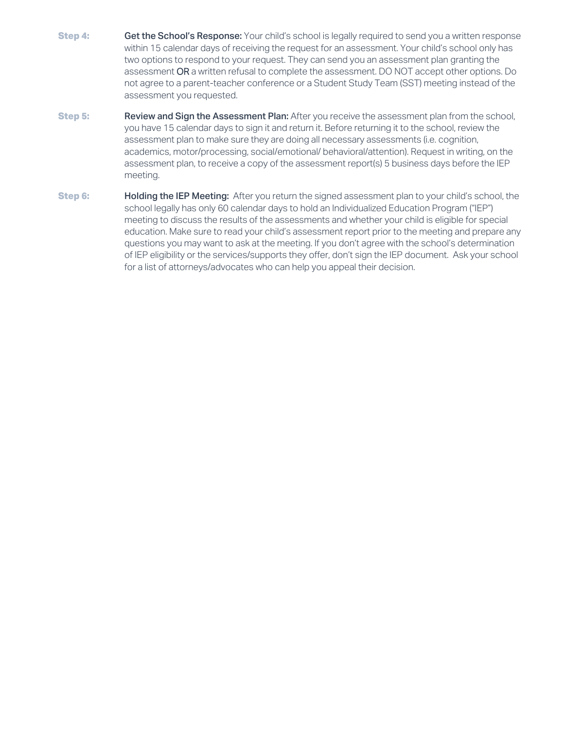- **Step 4: Get the School's Response:** Your child's school is legally required to send you a written response within 15 calendar days of receiving the request for an assessment. Your child's school only has two options to respond to your request. They can send you an assessment plan granting the assessment OR a written refusal to complete the assessment. DO NOT accept other options. Do not agree to a parent-teacher conference or a Student Study Team (SST) meeting instead of the assessment you requested.
- **Step 5: Review and Sign the Assessment Plan:** After you receive the assessment plan from the school, you have 15 calendar days to sign it and return it. Before returning it to the school, review the assessment plan to make sure they are doing all necessary assessments (i.e. cognition, academics, motor/processing, social/emotional/ behavioral/attention). Request in writing, on the assessment plan, to receive a copy of the assessment report(s) 5 business days before the IEP meeting.
- **Step 6: Holding the IEP Meeting:** After you return the signed assessment plan to your child's school, the school legally has only 60 calendar days to hold an Individualized Education Program ("IEP") meeting to discuss the results of the assessments and whether your child is eligible for special education. Make sure to read your child's assessment report prior to the meeting and prepare any questions you may want to ask at the meeting. If you don't agree with the school's determination of IEP eligibility or the services/supports they offer, don't sign the IEP document. Ask your school for a list of attorneys/advocates who can help you appeal their decision.